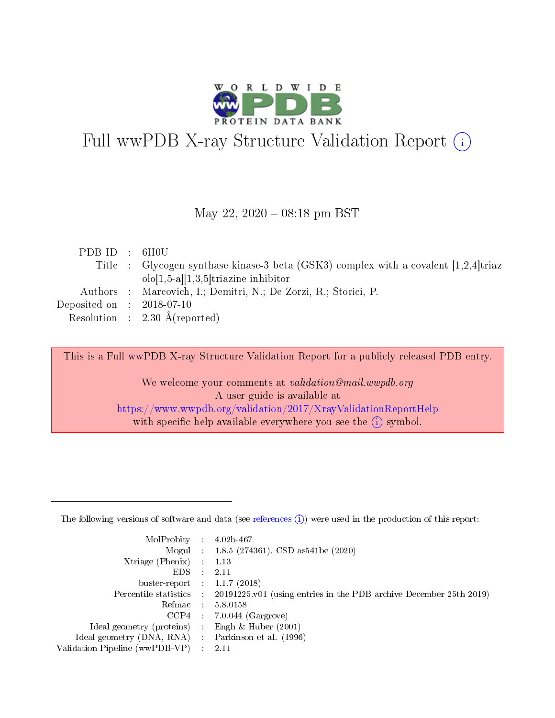

# Full wwPDB X-ray Structure Validation Report (i)

#### May 22, 2020 - 08:18 pm BST

| PDBID : 6H0U                |                                                                                        |
|-----------------------------|----------------------------------------------------------------------------------------|
|                             | Title : Glycogen synthase kinase-3 beta (GSK3) complex with a covalent $[1,2,4]$ triaz |
|                             | $olo[1,5-a][1,3,5]$ triazine inhibitor                                                 |
|                             | Authors : Marcovich, I.; Demitri, N.; De Zorzi, R.; Storici, P.                        |
| Deposited on : $2018-07-10$ |                                                                                        |
|                             | Resolution : $2.30 \text{ Å}$ (reported)                                               |

This is a Full wwPDB X-ray Structure Validation Report for a publicly released PDB entry.

We welcome your comments at validation@mail.wwpdb.org A user guide is available at <https://www.wwpdb.org/validation/2017/XrayValidationReportHelp> with specific help available everywhere you see the  $(i)$  symbol.

The following versions of software and data (see [references](https://www.wwpdb.org/validation/2017/XrayValidationReportHelp#references)  $(1)$ ) were used in the production of this report:

| $MolProbability$ 4.02b-467                        |               |                                                                                            |
|---------------------------------------------------|---------------|--------------------------------------------------------------------------------------------|
|                                                   |               | Mogul : $1.8.5$ (274361), CSD as 541be (2020)                                              |
| $X$ triage (Phenix) : 1.13                        |               |                                                                                            |
| EDS                                               | $\mathcal{L}$ | 2.11                                                                                       |
| buster-report : $1.1.7$ (2018)                    |               |                                                                                            |
|                                                   |               | Percentile statistics : 20191225.v01 (using entries in the PDB archive December 25th 2019) |
| Refmac $5.8.0158$                                 |               |                                                                                            |
|                                                   |               | $CCP4$ 7.0.044 (Gargrove)                                                                  |
| Ideal geometry (proteins) :                       |               | Engh $\&$ Huber (2001)                                                                     |
| Ideal geometry (DNA, RNA) Parkinson et al. (1996) |               |                                                                                            |
| Validation Pipeline (wwPDB-VP) : 2.11             |               |                                                                                            |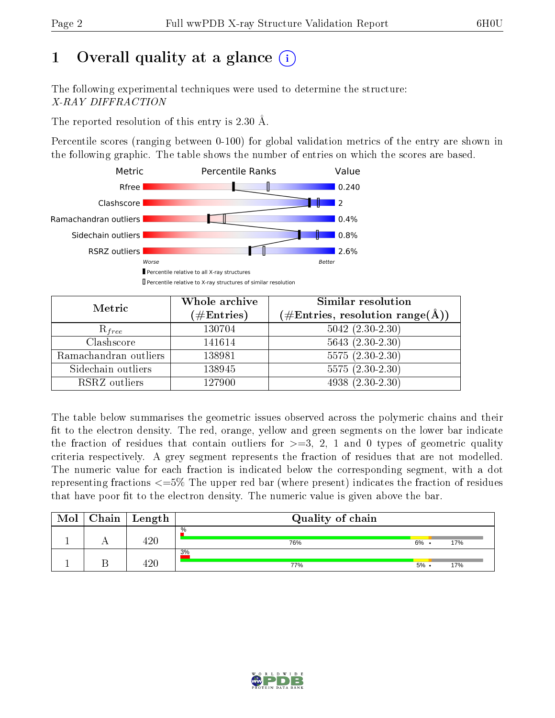# 1 [O](https://www.wwpdb.org/validation/2017/XrayValidationReportHelp#overall_quality)verall quality at a glance  $(i)$

The following experimental techniques were used to determine the structure: X-RAY DIFFRACTION

The reported resolution of this entry is 2.30 Å.

Percentile scores (ranging between 0-100) for global validation metrics of the entry are shown in the following graphic. The table shows the number of entries on which the scores are based.



| Metric                | Whole archive<br>$(\#\mathrm{Entries})$ | Similar resolution<br>$(\#\text{Entries},\, \text{resolution}\; \text{range}(\textup{\AA}))$ |
|-----------------------|-----------------------------------------|----------------------------------------------------------------------------------------------|
| $R_{free}$            | 130704                                  | $5042$ $(2.30-2.30)$                                                                         |
| Clashscore            | 141614                                  | $5643(2.30-2.30)$                                                                            |
| Ramachandran outliers | 138981                                  | $\overline{5575}$ $(2.30-2.30)$                                                              |
| Sidechain outliers    | 138945                                  | $5575(2.30-2.30)$                                                                            |
| RSRZ outliers         | 127900                                  | $4938(2.30-2.30)$                                                                            |

The table below summarises the geometric issues observed across the polymeric chains and their fit to the electron density. The red, orange, yellow and green segments on the lower bar indicate the fraction of residues that contain outliers for  $>=3, 2, 1$  and 0 types of geometric quality criteria respectively. A grey segment represents the fraction of residues that are not modelled. The numeric value for each fraction is indicated below the corresponding segment, with a dot representing fractions  $\epsilon=5\%$  The upper red bar (where present) indicates the fraction of residues that have poor fit to the electron density. The numeric value is given above the bar.

| Mol | ${\bf Chain \mid Length}$ | Quality of chain |         |     |
|-----|---------------------------|------------------|---------|-----|
|     | 120                       | $\%$<br>76%      | $6\%$ . | 17% |
|     | 00                        | 3%<br>77%        | $5\%$ . | 17% |

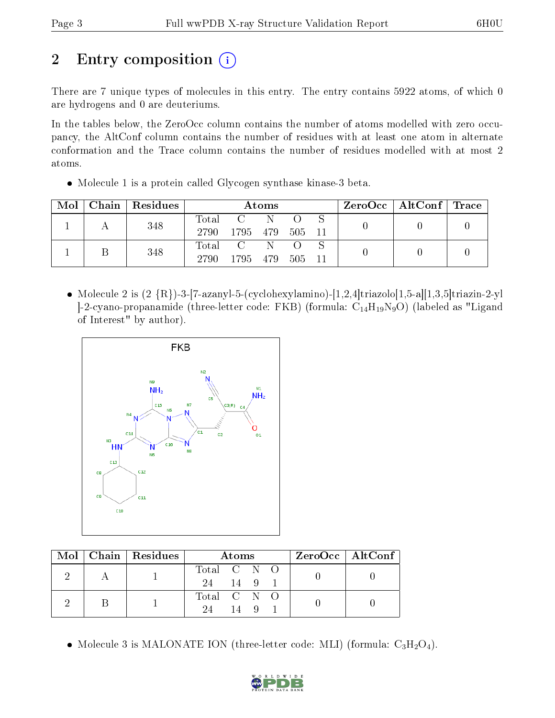# 2 Entry composition  $\binom{1}{1}$

There are 7 unique types of molecules in this entry. The entry contains 5922 atoms, of which 0 are hydrogens and 0 are deuteriums.

In the tables below, the ZeroOcc column contains the number of atoms modelled with zero occupancy, the AltConf column contains the number of residues with at least one atom in alternate conformation and the Trace column contains the number of residues modelled with at most 2 atoms.

Molecule 1 is a protein called Glycogen synthase kinase-3 beta.

| Mol | Chain Residues | Atoms         |                   |     | $\rm ZeroOcc \mid AltConf \mid Trace$ |  |  |  |
|-----|----------------|---------------|-------------------|-----|---------------------------------------|--|--|--|
|     | 348            | Total<br>2790 | 1795 479          | - N | - 505 - 11                            |  |  |  |
|     | 348            | Total<br>2790 | $C-N$<br>1795 479 |     | - 505 - 11                            |  |  |  |

• Molecule 2 is  $(2 \{R\})$ -3-[7-azanyl-5-(cyclohexylamino)-[1,2,4]triazolo[1,5-a][1,3,5]triazin-2-yl  $[-2$ -cyano-propanamide (three-letter code: FKB) (formula:  $C_{14}H_{19}N_9O$ ) (labeled as "Ligand of Interest" by author).



|  | $Mol$   Chain   Residues | Atoms                     | ZeroOcc   AltConf |
|--|--------------------------|---------------------------|-------------------|
|  |                          | Total C N O<br>14 9<br>24 |                   |
|  |                          | Total C N O<br>24<br>14   |                   |

• Molecule 3 is MALONATE ION (three-letter code: MLI) (formula:  $C_3H_2O_4$ ).

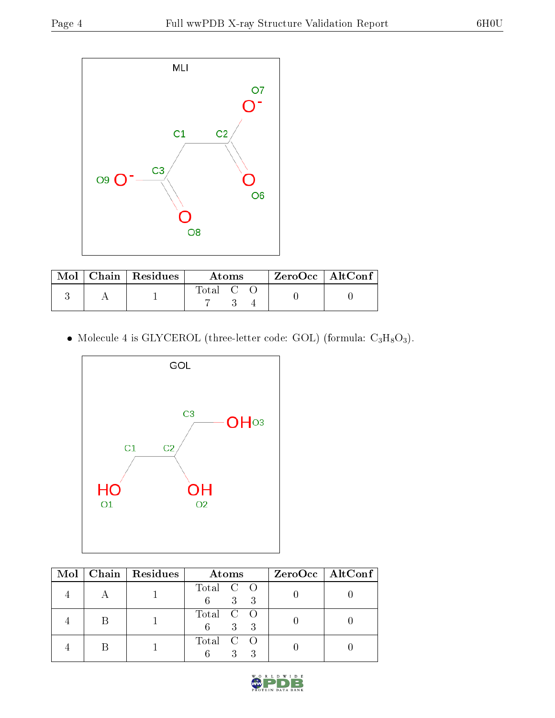

|  | Mol   Chain   Residues | <b>Atoms</b>                                            | ZeroOcc   AltConf |
|--|------------------------|---------------------------------------------------------|-------------------|
|  |                        | $\begin{bmatrix} \text{Total} & \text{C} \end{bmatrix}$ |                   |

• Molecule 4 is GLYCEROL (three-letter code: GOL) (formula:  $C_3H_8O_3$ ).



|  | Mol   Chain   Residues | Atoms                   | $ZeroOcc \   \$ AltConf |
|--|------------------------|-------------------------|-------------------------|
|  |                        | Total C O<br>6 3 3      |                         |
|  |                        | Total C O<br>3 3<br>6 — |                         |
|  |                        | Total C O               |                         |

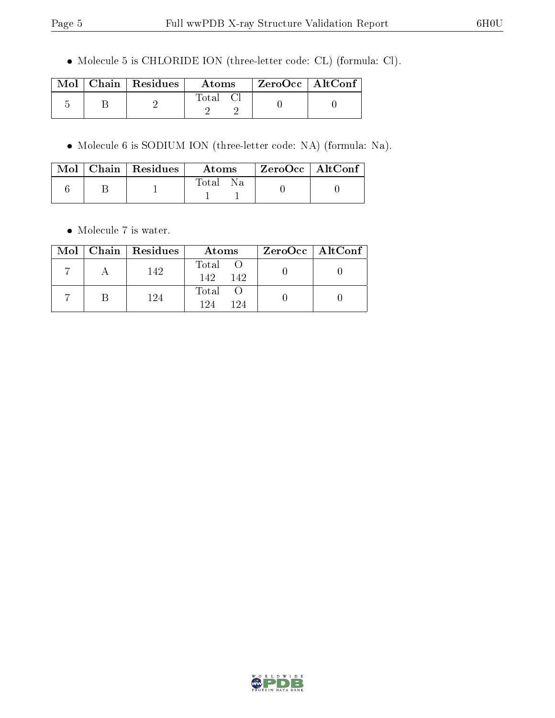Molecule 5 is CHLORIDE ION (three-letter code: CL) (formula: Cl).

|  | $\text{Mol}$   Chain   Residues | Atoms    | $\mid$ ZeroOcc $\mid$ AltConf |  |
|--|---------------------------------|----------|-------------------------------|--|
|  |                                 | Total Cl |                               |  |

Molecule 6 is SODIUM ION (three-letter code: NA) (formula: Na).

|  | $Mol$   Chain   Residues | Atoms | $ZeroOcc \mid AltConf \mid$ |  |
|--|--------------------------|-------|-----------------------------|--|
|  |                          | Total |                             |  |

 $\bullet\,$  Molecule 7 is water.

|  | Mol   Chain   Residues | Atoms                  | $ZeroOcc \   \$ AltConf |
|--|------------------------|------------------------|-------------------------|
|  | 142                    | Total O<br>142.<br>142 |                         |
|  | 124                    | Total O<br>194<br>194  |                         |

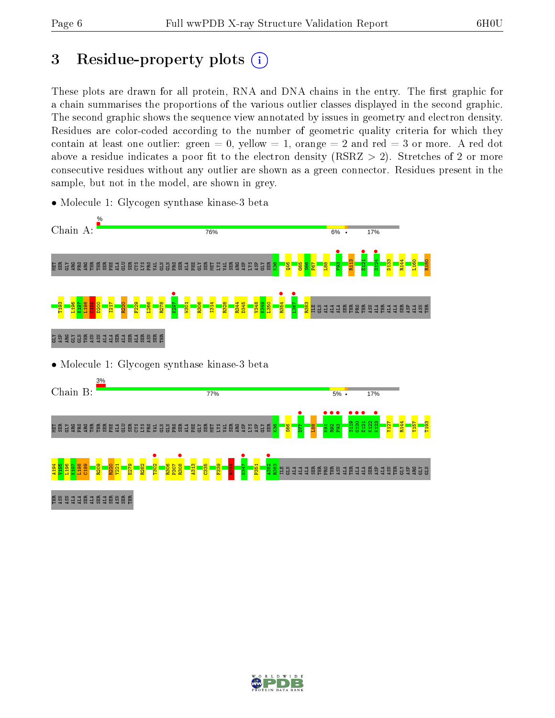# 3 Residue-property plots  $(i)$

These plots are drawn for all protein, RNA and DNA chains in the entry. The first graphic for a chain summarises the proportions of the various outlier classes displayed in the second graphic. The second graphic shows the sequence view annotated by issues in geometry and electron density. Residues are color-coded according to the number of geometric quality criteria for which they contain at least one outlier: green  $= 0$ , yellow  $= 1$ , orange  $= 2$  and red  $= 3$  or more. A red dot above a residue indicates a poor fit to the electron density (RSRZ  $> 2$ ). Stretches of 2 or more consecutive residues without any outlier are shown as a green connector. Residues present in the sample, but not in the model, are shown in grey.



• Molecule 1: Glycogen synthase kinase-3 beta

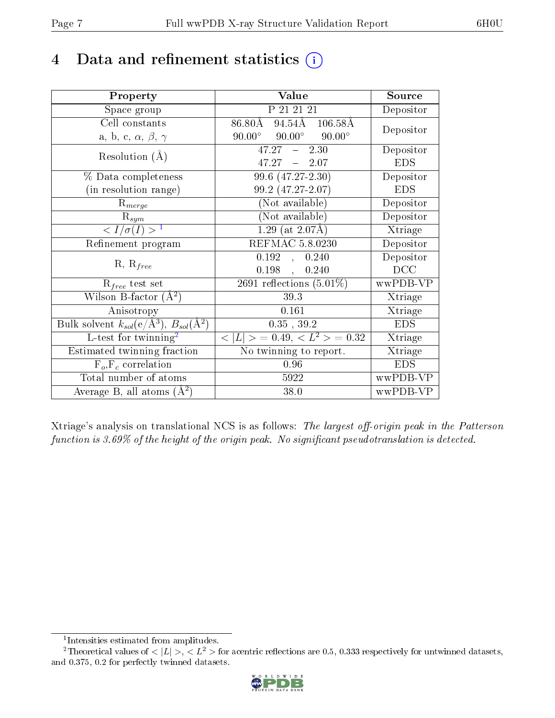# 4 Data and refinement statistics  $(i)$

| Property                                                         | Value                                            | Source     |
|------------------------------------------------------------------|--------------------------------------------------|------------|
| Space group                                                      | P 21 21 21                                       | Depositor  |
| Cell constants                                                   | $86.80\text{\AA}$ 94.54A 106.58A                 | Depositor  |
| a, b, c, $\alpha$ , $\beta$ , $\gamma$                           | $90.00^{\circ}$ $90.00^{\circ}$<br>$90.00^\circ$ |            |
| Resolution $(A)$                                                 | $47.27 - 2.30$                                   | Depositor  |
|                                                                  | $47.27 - 2.07$                                   | <b>EDS</b> |
| $\%$ Data completeness                                           | $99.6(47.27-2.30)$                               | Depositor  |
| (in resolution range)                                            | 99.2 (47.27-2.07)                                | <b>EDS</b> |
| $R_{merge}$                                                      | (Not available)                                  | Depositor  |
| $\mathrm{R}_{sym}$                                               | $(Not\ avariable)$                               | Depositor  |
| $\langle I/\sigma(I) \rangle^{-1}$                               | $1.29$ (at $2.07\text{\AA}$ )                    | Xtriage    |
| Refinement program                                               | <b>REFMAC 5.8.0230</b>                           | Depositor  |
|                                                                  | 0.192,<br>0.240                                  | Depositor  |
| $R, R_{free}$                                                    | $0.198$ ,<br>0.240                               | DCC        |
| $R_{free}$ test set                                              | 2691 reflections $(5.01\%)$                      | wwPDB-VP   |
| Wilson B-factor $(A^2)$                                          | 39.3                                             | Xtriage    |
| Anisotropy                                                       | 0.161                                            | Xtriage    |
| Bulk solvent $k_{sol}(\text{e}/\text{A}^3), B_{sol}(\text{A}^2)$ | $0.35$ , $39.2$                                  | <b>EDS</b> |
| L-test for $\mathrm{twinning}^2$                                 | $< L >$ = 0.49, $< L2$ = 0.32                    | Xtriage    |
| Estimated twinning fraction                                      | No twinning to report.                           | Xtriage    |
| $\overline{F_o}, \overline{F_c}$ correlation                     | 0.96                                             | <b>EDS</b> |
| Total number of atoms                                            | 5922                                             | wwPDB-VP   |
| Average B, all atoms $(A^2)$                                     | 38.0                                             | wwPDB-VP   |

Xtriage's analysis on translational NCS is as follows: The largest off-origin peak in the Patterson function is  $3.69\%$  of the height of the origin peak. No significant pseudotranslation is detected.

<sup>&</sup>lt;sup>2</sup>Theoretical values of  $\langle |L| \rangle$ ,  $\langle L^2 \rangle$  for acentric reflections are 0.5, 0.333 respectively for untwinned datasets, and 0.375, 0.2 for perfectly twinned datasets.



<span id="page-6-1"></span><span id="page-6-0"></span><sup>1</sup> Intensities estimated from amplitudes.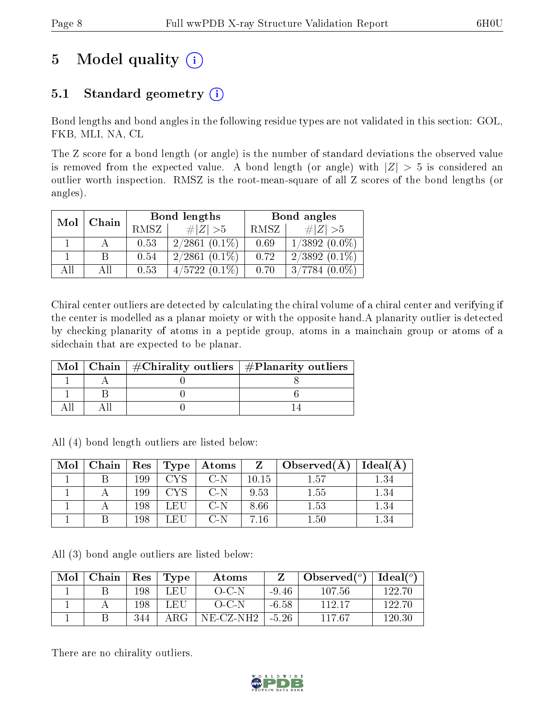# 5 Model quality  $(i)$

## 5.1 Standard geometry  $(i)$

Bond lengths and bond angles in the following residue types are not validated in this section: GOL, FKB, MLI, NA, CL

The Z score for a bond length (or angle) is the number of standard deviations the observed value is removed from the expected value. A bond length (or angle) with  $|Z| > 5$  is considered an outlier worth inspection. RMSZ is the root-mean-square of all Z scores of the bond lengths (or angles).

| Chain<br>Mol |     |      | Bond lengths    | Bond angles |                  |  |
|--------------|-----|------|-----------------|-------------|------------------|--|
|              |     | RMSZ | $\# Z  > 5$     | RMSZ        | # $ Z  > 5$      |  |
|              |     | 0.53 | $2/2861(0.1\%)$ | 0.69        | $1/3892(0.0\%)$  |  |
|              |     | 0.54 | $2/2861(0.1\%)$ | 0.72        | $2/3892(0.1\%)$  |  |
| All          | Аll | 0.53 | $4/5722(0.1\%)$ | 0.70        | $3/7784~(0.0\%)$ |  |

Chiral center outliers are detected by calculating the chiral volume of a chiral center and verifying if the center is modelled as a planar moiety or with the opposite hand.A planarity outlier is detected by checking planarity of atoms in a peptide group, atoms in a mainchain group or atoms of a sidechain that are expected to be planar.

|  | Mol   Chain   $\#\text{Chirality outliers}$   $\#\text{Planarity outliers}$ |
|--|-----------------------------------------------------------------------------|
|  |                                                                             |
|  |                                                                             |
|  |                                                                             |

All (4) bond length outliers are listed below:

| Mol | ${\rm Chain}$ | Res | Type | Atoms | Z          | Observed $(A)$ | Ideal(A  |
|-----|---------------|-----|------|-------|------------|----------------|----------|
|     |               | 199 | CVC  | $C-N$ | 10.15      | $1.57\,$       | $1.34\,$ |
|     |               | 199 |      | $C-N$ | 9.53       | $1.55\,$       | 1.34     |
|     |               | 198 | LEU. | C-N   | 8.66       | 1.53           | 1.34     |
|     |               | 198 | LEI  | C-N   | $\cdot$ 16 | $1.50\,$       | 1.34     |

All (3) bond angle outliers are listed below:

| Mol | Chain | $\operatorname{Res}$ | Type | Atoms       | 7       | Observed $(°)$ | Ideal(°) |
|-----|-------|----------------------|------|-------------|---------|----------------|----------|
|     |       | 198                  | LEU  | $O-C-N$     | $-9.46$ | 107.56         | 122.70   |
|     |       | 198                  | UEU. | $O-C-N$     | $-6.58$ | 112.17         | 122.70   |
|     |       | 344                  | ARG  | $NE-CZ-NH2$ | $-5.26$ | 117 67         | 120.30   |

There are no chirality outliers.

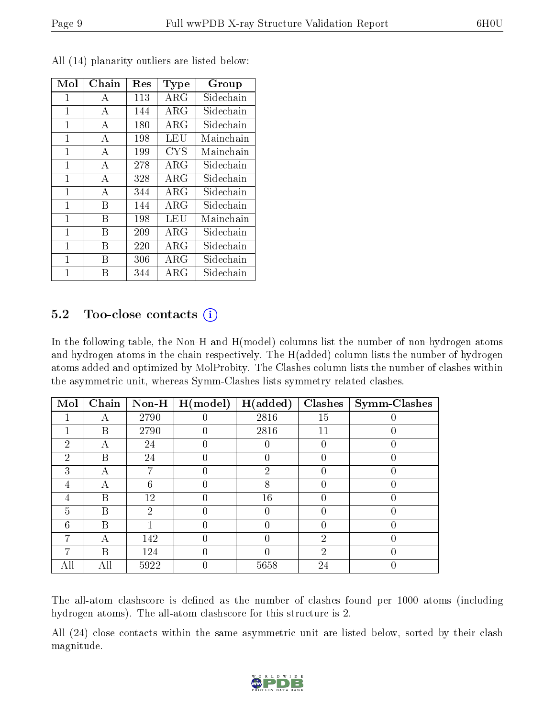| Mol          | Chain          | Res | Type        | Group     |
|--------------|----------------|-----|-------------|-----------|
| 1            | А              | 113 | $\rm{ARG}$  | Sidechain |
| 1            | A              | 144 | ARG         | Sidechain |
| 1            | A              | 180 | ARG         | Sidechain |
| 1            | $\mathbf{A}$   | 198 | LEU         | Mainchain |
| 1            | $\overline{A}$ | 199 | <b>CYS</b>  | Mainchain |
| 1            | $\overline{A}$ | 278 | $\rm{ARG}$  | Sidechain |
| 1            | $\mathbf{A}$   | 328 | $\rm{ARG}$  | Sidechain |
| 1            | $\overline{A}$ | 344 | ARG         | Sidechain |
| $\mathbf{1}$ | В              | 144 | $\rm{ARG}$  | Sidechain |
| $\mathbf{1}$ | В              | 198 | LEU         | Mainchain |
| 1            | В              | 209 | ARG         | Sidechain |
| 1            | В              | 220 | ARG         | Sidechain |
| $\mathbf{1}$ | В              | 306 | $\rm{ARG}$  | Sidechain |
| 1            | R              | 344 | ${\rm ARG}$ | Sidechain |

All (14) planarity outliers are listed below:

### 5.2 Too-close contacts (i)

In the following table, the Non-H and H(model) columns list the number of non-hydrogen atoms and hydrogen atoms in the chain respectively. The H(added) column lists the number of hydrogen atoms added and optimized by MolProbity. The Clashes column lists the number of clashes within the asymmetric unit, whereas Symm-Clashes lists symmetry related clashes.

| Mol            | Chain | $\bf Non-H$    | H (model)        | H(added)       | Clashes        | Symm-Clashes |
|----------------|-------|----------------|------------------|----------------|----------------|--------------|
|                | А     | 2790           |                  | 2816           | 15             |              |
|                | В     | 2790           | 0                | 2816           | 11             |              |
| 2              | А     | 24             | $\left( \right)$ |                | 0              |              |
| $\overline{2}$ | B     | 24             | $\left( \right)$ | 0              |                | O            |
| 3              | А     | 7              | 0                | $\overline{2}$ |                | O            |
| 4              | А     | 6              |                  | 8              |                |              |
| 4              | Β     | 12             | $\Omega$         | 16             |                |              |
| $\overline{5}$ | B     | $\overline{2}$ | 0                |                |                |              |
| 6              | В     |                | 0                |                |                |              |
|                | А     | 142            | $\left( \right)$ |                | $\overline{2}$ |              |
| 7              | В     | 124            | 0                |                | $\mathcal{D}$  |              |
| All            | All   | 5922           |                  | 5658           | 24             |              |

The all-atom clashscore is defined as the number of clashes found per 1000 atoms (including hydrogen atoms). The all-atom clashscore for this structure is 2.

All (24) close contacts within the same asymmetric unit are listed below, sorted by their clash magnitude.

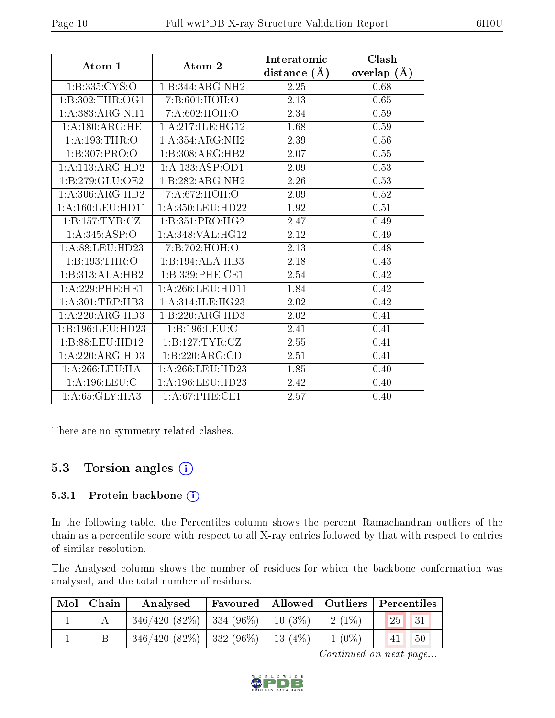|                      |                      | Interatomic    | Clash         |
|----------------------|----------------------|----------------|---------------|
| Atom-1               | Atom-2               | distance $(A)$ | overlap $(A)$ |
| 1:B:335:CYS:O        | 1:B:344:ARG:NH2      | 2.25           | 0.68          |
| 1:B:302:THR:OG1      | 7: B:601: HOH:O      | 2.13           | 0.65          |
| 1: A: 383: ARG: NH1  | 7: A:602: HOH:O      | 2.34           | 0.59          |
| 1:A:180:ARG:HE       | 1:A:217:ILE:HG12     | 1.68           | 0.59          |
| 1:A:193:THR:O        | 1:A:354:ARG:NH2      | 2.39           | 0.56          |
| 1:B:307:PRO:O        | 1:B:308:ARG:HB2      | 2.07           | 0.55          |
| 1:A:113:ARG:HD2      | 1:A:133:ASP:OD1      | 2.09           | 0.53          |
| 1:B:279:GLU:OE2      | 1:B:282:ARG:NH2      | 2.26           | 0.53          |
| 1:A:306:ARG:HD2      | 7:A:672:HOH:O        | 2.09           | 0.52          |
| 1: A: 160: LEU: HD11 | 1: A: 350: LEU: HD22 | 1.92           | 0.51          |
| 1:B:157:TYR:CZ       | 1:B:351:PRO:HG2      | 2.47           | 0.49          |
| 1: A:345: ASP:O      | 1: A:348: VAL:HG12   | 2.12           | 0.49          |
| 1: A:88:LEU:HD23     | 7: B:702: HOH:O      | 2.13           | 0.48          |
| 1:B:193:THR:O        | 1:B:194:ALA:HB3      | 2.18           | 0.43          |
| 1:B:313:ALA:HB2      | 1:B:339:PHE:CE1      | 2.54           | 0.42          |
| $1: A:229:$ PHE:HE1  | 1: A:266:LEU:HD11    | 1.84           | 0.42          |
| 1: A:301:TRP:HB3     | 1:A:314:ILE:HG23     | 2.02           | 0.42          |
| 1:A:220:ARG:HD3      | 1:B:220:ARG:HD3      | 2.02           | 0.41          |
| 1:B:196:LEU:HD23     | 1:B:196:LEU:C        | 2.41           | 0.41          |
| 1:B:88:LEU:HD12      | 1:B:127:TYR:CZ       | 2.55           | 0.41          |
| 1:A:220:ARG:HD3      | 1:B:220:ARG:CD       | 2.51           | 0.41          |
| 1:A:266:LEU:HA       | 1:A:266:LEU:HD23     | 1.85           | 0.40          |
| 1:A:196:LEU:C        | 1: A: 196: LEU: HD23 | 2.42           | 0.40          |
| 1:A:65:GLY:HA3       | $1: A:67:$ PHE:CE1   | 2.57           | 0.40          |

There are no symmetry-related clashes.

### 5.3 Torsion angles (i)

#### 5.3.1 Protein backbone (i)

In the following table, the Percentiles column shows the percent Ramachandran outliers of the chain as a percentile score with respect to all X-ray entries followed by that with respect to entries of similar resolution.

The Analysed column shows the number of residues for which the backbone conformation was analysed, and the total number of residues.

| Mol   Chain | Analysed                                       |  |           | Favoured   Allowed   Outliers   Percentiles |
|-------------|------------------------------------------------|--|-----------|---------------------------------------------|
|             | $346/420$ $(82\%)$   334 $(96\%)$   10 $(3\%)$ |  | $-2(1\%)$ | 25 <br>$\vert$ 31                           |
|             | $346/420$ (82\%)   332 (96\%)   13 (4\%)       |  | $1(0\%)$  | 41<br>50                                    |

Continued on next page...

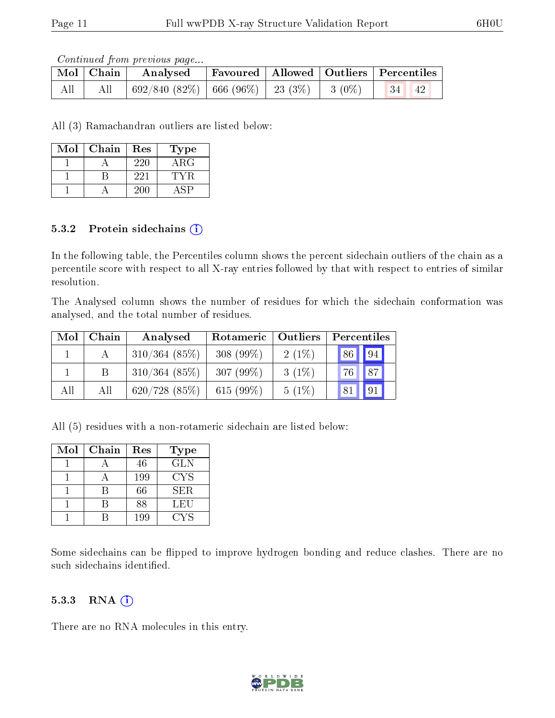Continued from previous page...

|     | Mol   Chain | Analysed                                     |  | $\mid$ Favoured $\mid$ Allowed $\mid$ Outliers $\mid$ Percentiles |
|-----|-------------|----------------------------------------------|--|-------------------------------------------------------------------|
| All | All         | 692/840 (82%)   666 (96%)   23 (3%)   3 (0%) |  | $\parallel$ 34 $\parallel$ 42                                     |

All (3) Ramachandran outliers are listed below:

| Mol | Chain | Res | 'Type      |
|-----|-------|-----|------------|
|     |       | 220 | $\rm{ARG}$ |
|     |       | 221 |            |
|     |       | 200 |            |

#### 5.3.2 Protein sidechains  $(i)$

In the following table, the Percentiles column shows the percent sidechain outliers of the chain as a percentile score with respect to all X-ray entries followed by that with respect to entries of similar resolution.

The Analysed column shows the number of residues for which the sidechain conformation was analysed, and the total number of residues.

| Mol | Chain | Analysed         | Rotameric    | Outliers | Percentiles |              |
|-----|-------|------------------|--------------|----------|-------------|--------------|
|     |       | $310/364$ (85%)  | 308 $(99\%)$ | $2(1\%)$ | 86          | $\boxed{94}$ |
|     |       | $310/364$ (85\%) | 307 $(99\%)$ | $3(1\%)$ | 76          | 87           |
| All | All   | 620/728(85%)     | 615 $(99\%)$ | 5(1%)    | 81          |              |

All (5) residues with a non-rotameric sidechain are listed below:

| Mol | Chain | Res | <b>Type</b> |
|-----|-------|-----|-------------|
|     |       | 46  | <b>GLN</b>  |
|     |       | 199 | <b>CYS</b>  |
|     |       | 66  | SER.        |
|     |       | 88  | LEU         |
|     |       | 199 | CYS         |

Some sidechains can be flipped to improve hydrogen bonding and reduce clashes. There are no such sidechains identified.

#### $5.3.3$  RNA  $(i)$

There are no RNA molecules in this entry.

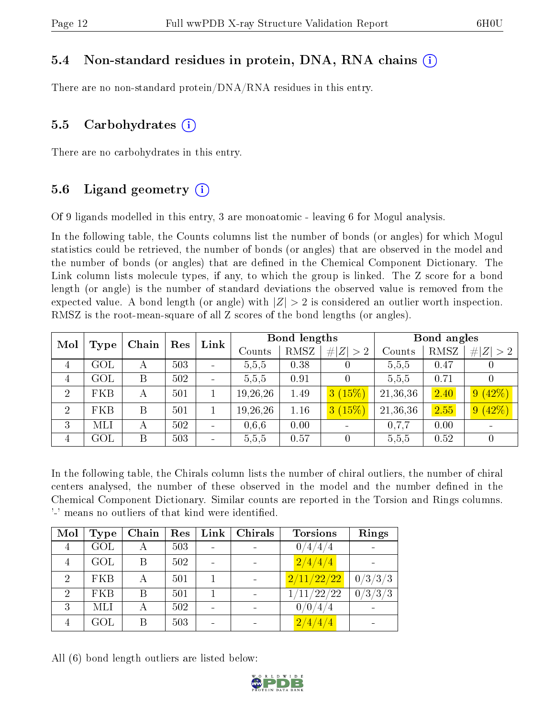### 5.4 Non-standard residues in protein, DNA, RNA chains (i)

There are no non-standard protein/DNA/RNA residues in this entry.

### 5.5 Carbohydrates (i)

There are no carbohydrates in this entry.

### 5.6 Ligand geometry  $(i)$

Of 9 ligands modelled in this entry, 3 are monoatomic - leaving 6 for Mogul analysis.

In the following table, the Counts columns list the number of bonds (or angles) for which Mogul statistics could be retrieved, the number of bonds (or angles) that are observed in the model and the number of bonds (or angles) that are dened in the Chemical Component Dictionary. The Link column lists molecule types, if any, to which the group is linked. The Z score for a bond length (or angle) is the number of standard deviations the observed value is removed from the expected value. A bond length (or angle) with  $|Z| > 2$  is considered an outlier worth inspection. RMSZ is the root-mean-square of all Z scores of the bond lengths (or angles).

| Mol            | Type       | Chain |     | Link<br>Res | <b>Bond lengths</b> |      |           | Bond angles |      |                      |
|----------------|------------|-------|-----|-------------|---------------------|------|-----------|-------------|------|----------------------|
|                |            |       |     |             | Counts              | RMSZ | Z  > 2    | Counts      | RMSZ | # $ Z  > 2$          |
| 4              | $\rm GOL$  | А     | 503 |             | 5,5,5               | 0.38 | $\theta$  | 5,5,5       | 0.47 |                      |
| $\overline{4}$ | GOL        | B     | 502 |             | 5,5,5               | 0.91 |           | 5,5,5       | 0.71 |                      |
| $\overline{2}$ | <b>FKB</b> | А     | 501 |             | 19, 26, 26          | 1.49 | 3(15%)    | 21,36,36    | 2.40 | (42%)<br>$9^{\circ}$ |
| $\overline{2}$ | <b>FKB</b> | B     | 501 |             | 19, 26, 26          | 1.16 | $3(15\%)$ | 21,36,36    | 2.55 | (42%)                |
| 3              | MLI        | А     | 502 |             | 0.6, 6              | 0.00 |           | 0.7.7       | 0.00 |                      |
| 4              | $\rm GOL$  | B     | 503 |             | 5,5,5               | 0.57 | 0         | 5,5,5       | 0.52 |                      |

In the following table, the Chirals column lists the number of chiral outliers, the number of chiral centers analysed, the number of these observed in the model and the number defined in the Chemical Component Dictionary. Similar counts are reported in the Torsion and Rings columns. '-' means no outliers of that kind were identified.

| Mol                         | Type       | Chain | Res | Link | Chirals | <b>Torsions</b>  | Rings   |
|-----------------------------|------------|-------|-----|------|---------|------------------|---------|
| 4                           | GOL        | А     | 503 |      |         | 0/4/4/4          |         |
| 4                           | GOL        | Β     | 502 |      |         | $\sqrt{2/4/4/4}$ |         |
| $\mathcal{D}_{\mathcal{L}}$ | <b>FKB</b> | А     | 501 |      |         | 2/11/22/22       | 0/3/3/3 |
| $\mathcal{D}$               | <b>FKB</b> | Β     | 501 |      |         | 1/11/22/22       | 0/3/3/3 |
| 3                           | MLI        | А     | 502 |      |         | 0/0/4/4          |         |
|                             | GOL        | В     | 503 |      |         | 2/4/4/4          |         |

All (6) bond length outliers are listed below:

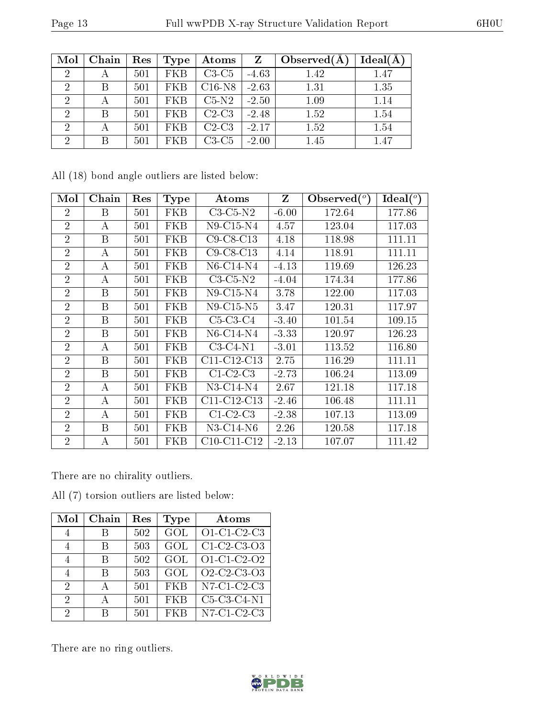| Mol            | Chain | Res | Type       | Atoms    | $\mathbf{Z}$ | Observed $(A$ | Ideal(A) |
|----------------|-------|-----|------------|----------|--------------|---------------|----------|
| $\overline{2}$ |       | 501 | <b>FKB</b> | $C3-C5$  | $-4.63$      | 1.42          | 1.47     |
| 2              |       | 501 | FKB        | $C16-N8$ | $-2.63$      | 1.31          | 1.35     |
| $\overline{2}$ |       | 501 | <b>FKB</b> | $C5-N2$  | $-2.50$      | 1.09          | 1.14     |
| $\mathcal{D}$  | B     | 501 | FKB        | $C2-C3$  | $-2.48$      | 1.52          | 1.54     |
| $\mathcal{D}$  |       | 501 | FKB        | $C2-C3$  | $-2.17$      | 1.52          | 1.54     |
| റ              |       | 501 | FKB        | $C3-C5$  | $-2.00$      | 1.45          | 1.47     |

All (18) bond angle outliers are listed below:

| Mol            | Chain    | Res | Type       | Atoms               | Z       | $\mathbf{Observed}(^o)$ | Ideal (°) |
|----------------|----------|-----|------------|---------------------|---------|-------------------------|-----------|
| 2              | B        | 501 | FKB        | $C3-C5-N2$          | $-6.00$ | 172.64                  | 177.86    |
| $\overline{2}$ | A        | 501 | FKB        | $N9$ -C15-N4        | 4.57    | 123.04                  | 117.03    |
| $\overline{2}$ | B        | 501 | FKB        | $C9$ - $C8$ - $C13$ | 4.18    | 118.98                  | 111.11    |
| $\overline{2}$ | А        | 501 | FKB        | $C9$ - $C8$ - $C13$ | 4.14    | 118.91                  | 111.11    |
| $\overline{2}$ | $\bf{A}$ | 501 | FKB        | $N6$ -C14-N4        | $-4.13$ | 119.69                  | 126.23    |
| $\overline{2}$ | А        | 501 | FKB        | $C3-C5-N2$          | $-4.04$ | 174.34                  | 177.86    |
| $\overline{2}$ | B        | 501 | FKB        | $N9$ -C15-N4        | 3.78    | 122.00                  | 117.03    |
| $\overline{2}$ | B        | 501 | <b>FKB</b> | $N9$ -C15-N5        | 3.47    | 120.31                  | 117.97    |
| $\overline{2}$ | B        | 501 | FKB        | $C5-C3-C4$          | $-3.40$ | 101.54                  | 109.15    |
| $\overline{2}$ | B        | 501 | FKB        | N6-C14-N4           | $-3.33$ | 120.97                  | 126.23    |
| $\overline{2}$ | А        | 501 | FKB        | $C3-C4-N1$          | $-3.01$ | 113.52                  | 116.80    |
| $\overline{2}$ | B        | 501 | FKB        | $C11-C12-C13$       | 2.75    | 116.29                  | 111.11    |
| $\overline{2}$ | B        | 501 | FKB        | $C1-C2-C3$          | $-2.73$ | 106.24                  | 113.09    |
| $\overline{2}$ | А        | 501 | FKB        | N3-C14-N4           | 2.67    | 121.18                  | 117.18    |
| $\overline{2}$ | A        | 501 | FKB        | $C11-C12-C13$       | $-2.46$ | 106.48                  | 111.11    |
| $\overline{2}$ | А        | 501 | FKB        | $C1-C2-C3$          | $-2.38$ | 107.13                  | 113.09    |
| $\overline{2}$ | B        | 501 | <b>FKB</b> | $N3-C14-N6$         | 2.26    | 120.58                  | 117.18    |
| $\overline{2}$ | А        | 501 | FKB        | $C10-C11-C12$       | $-2.13$ | 107.07                  | 111.42    |

There are no chirality outliers.

All (7) torsion outliers are listed below:

| Mol | Chain | Res | Type       | Atoms                                                          |
|-----|-------|-----|------------|----------------------------------------------------------------|
|     | R     | 502 | GOL        | O1-C1-C2-C3                                                    |
| 4   | В     | 503 | GOL        | C1-C2-C3-O3                                                    |
| 4   | В     | 502 | GOL        | O1-C1-C2-O2                                                    |
|     | В     | 503 | GOL        | O <sub>2</sub> -C <sub>2</sub> -C <sub>3</sub> -O <sub>3</sub> |
| 2   | А     | 501 | <b>FKB</b> | $\overline{\text{N7}}$ -C1-C2-C3                               |
| 2   | А     | 501 | <b>FKB</b> | $C5-C3-C4-N1$                                                  |
| 2   |       | 501 | FKB        | $\overline{\text{N7-C1}}$ C <sub>2</sub> -C <sub>3</sub>       |

There are no ring outliers.

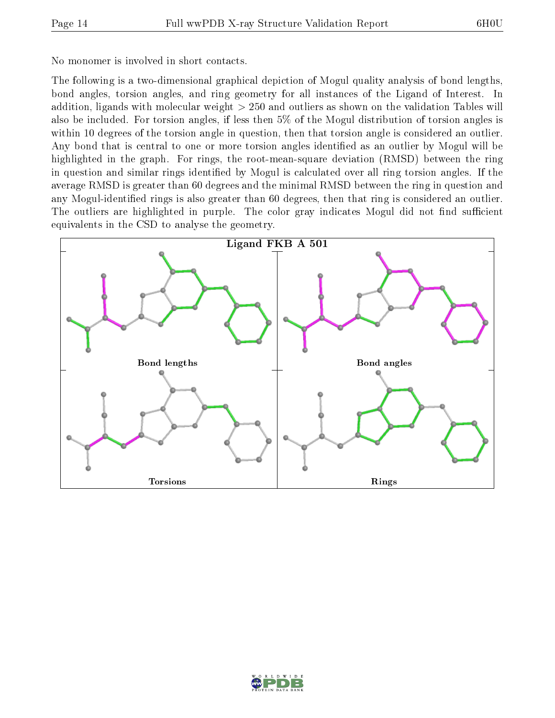No monomer is involved in short contacts.

The following is a two-dimensional graphical depiction of Mogul quality analysis of bond lengths, bond angles, torsion angles, and ring geometry for all instances of the Ligand of Interest. In addition, ligands with molecular weight > 250 and outliers as shown on the validation Tables will also be included. For torsion angles, if less then 5% of the Mogul distribution of torsion angles is within 10 degrees of the torsion angle in question, then that torsion angle is considered an outlier. Any bond that is central to one or more torsion angles identified as an outlier by Mogul will be highlighted in the graph. For rings, the root-mean-square deviation (RMSD) between the ring in question and similar rings identified by Mogul is calculated over all ring torsion angles. If the average RMSD is greater than 60 degrees and the minimal RMSD between the ring in question and any Mogul-identified rings is also greater than 60 degrees, then that ring is considered an outlier. The outliers are highlighted in purple. The color gray indicates Mogul did not find sufficient equivalents in the CSD to analyse the geometry.



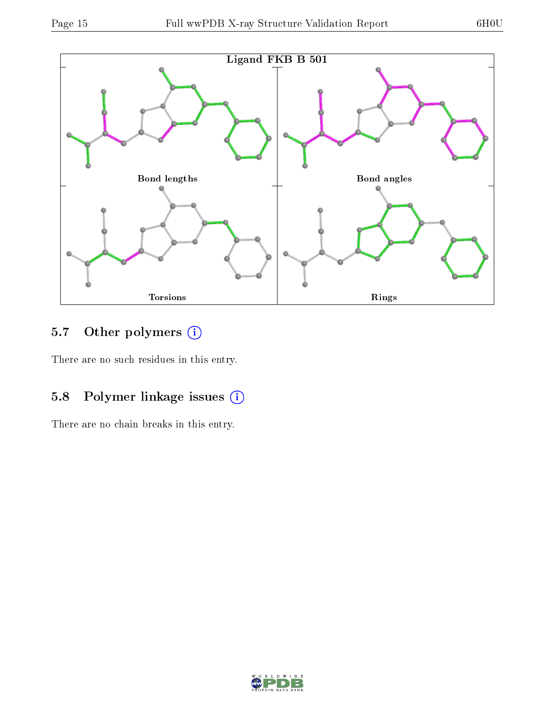

### 5.7 [O](https://www.wwpdb.org/validation/2017/XrayValidationReportHelp#nonstandard_residues_and_ligands)ther polymers (i)

There are no such residues in this entry.

## 5.8 Polymer linkage issues (i)

There are no chain breaks in this entry.

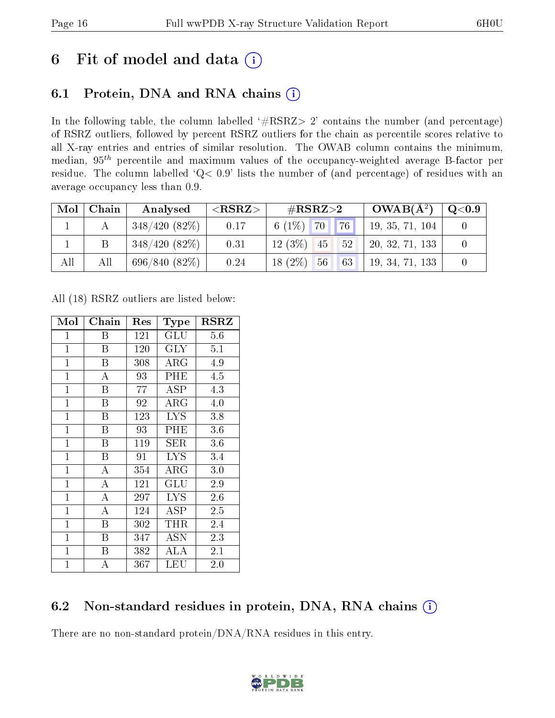# 6 Fit of model and data  $(i)$

## 6.1 Protein, DNA and RNA chains  $(i)$

In the following table, the column labelled  $#RSRZ> 2'$  contains the number (and percentage) of RSRZ outliers, followed by percent RSRZ outliers for the chain as percentile scores relative to all X-ray entries and entries of similar resolution. The OWAB column contains the minimum, median,  $95<sup>th</sup>$  percentile and maximum values of the occupancy-weighted average B-factor per residue. The column labelled ' $Q< 0.9$ ' lists the number of (and percentage) of residues with an average occupancy less than 0.9.

| Mol | Chain | Analysed        | ${ <\hspace{-1.5pt}{\mathrm{RSRZ}} \hspace{-1.5pt}>}$ | $\#\text{RSRZ}\text{>2}$            | $OWAB(A^2)$     | $\rm Q\textcolor{black}{<}0.9$ |
|-----|-------|-----------------|-------------------------------------------------------|-------------------------------------|-----------------|--------------------------------|
|     |       | $348/420(82\%)$ | 0.17                                                  | $\vert 76 \vert$<br>6 (1\%) $70$ \, | 19, 35, 71, 104 |                                |
|     |       | 348/420(82%)    | 0.31                                                  | $12(3\%)$<br>52<br>45               | 20, 32, 71, 133 |                                |
| All | All   | 696/840(82%)    | 0.24                                                  | $18(2\%)$<br>63<br>56               | 19, 34, 71, 133 |                                |

All (18) RSRZ outliers are listed below:

| Mol            | Chain | Res | <b>Type</b>          | $_{\rm RSRZ}$ |
|----------------|-------|-----|----------------------|---------------|
| $\mathbf{1}$   | Β     | 121 | GLU                  | 5.6           |
| $\overline{1}$ | B     | 120 | $\rm GLY$            | 5.1           |
| $\mathbf{1}$   | B     | 308 | $\rm{ARG}$           | 4.9           |
| $\mathbf{1}$   | А     | 93  | PHE                  | 4.5           |
| $\mathbf{1}$   | B     | 77  | ASP                  | 4.3           |
| $\mathbf{1}$   | Β     | 92  | $\rm{ARG}$           | 4.0           |
| $\mathbf 1$    | B     | 123 | <b>LYS</b>           | 3.8           |
| $\mathbf{1}$   | Β     | 93  | PHE                  | 3.6           |
| $\mathbf{1}$   | Β     | 119 | SER                  | 3.6           |
| $\mathbf{1}$   | B     | 91  | ĪУS                  | 3.4           |
| $\mathbf{1}$   | А     | 354 | ${\rm ARG}$          | 3.0           |
| $\mathbf{1}$   | A     | 121 | $\operatorname{GLU}$ | 2.9           |
| $\mathbf{1}$   | A     | 297 | $_{\mathrm{LYS}}$    | 2.6           |
| $\mathbf{1}$   | A     | 124 | ASP                  | 2.5           |
| $\mathbf{1}$   | B     | 302 | THR                  | 2.4           |
| $\mathbf{1}$   | Β     | 347 | ASN                  | 2.3           |
| $\mathbf{1}$   | Β     | 382 | ALA                  | 2.1           |
| $\mathbf 1$    | А     | 367 | LEU                  | $2.0\,$       |

### 6.2 Non-standard residues in protein, DNA, RNA chains (i)

There are no non-standard protein/DNA/RNA residues in this entry.

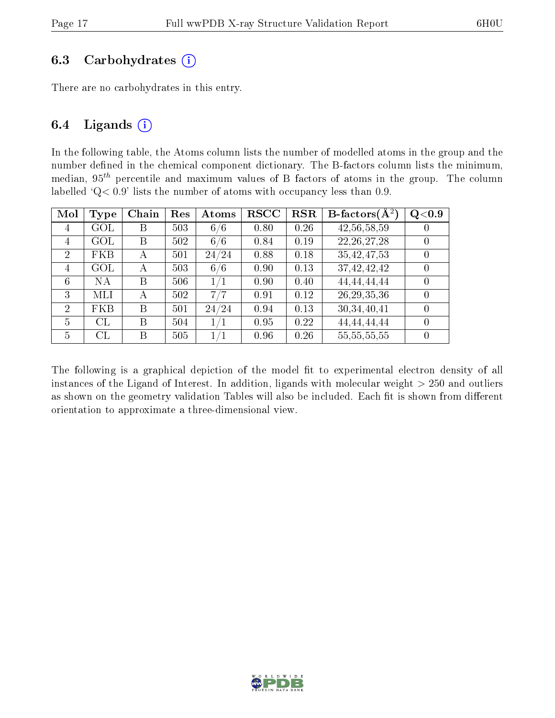#### 6.3 Carbohydrates  $(i)$

There are no carbohydrates in this entry.

#### 6.4 Ligands  $(i)$

In the following table, the Atoms column lists the number of modelled atoms in the group and the number defined in the chemical component dictionary. The B-factors column lists the minimum, median,  $95<sup>th</sup>$  percentile and maximum values of B factors of atoms in the group. The column labelled  $Q < 0.9$ ' lists the number of atoms with occupancy less than 0.9.

| Mol            | Type           | Chain | Res | Atoms | $_{\rm RSCC}$ | <b>RSR</b> | <b>B</b> -factors $\overline{(A^2)}$ | Q <sub>0.9</sub> |
|----------------|----------------|-------|-----|-------|---------------|------------|--------------------------------------|------------------|
| 4              | $\rm GOL$      | Β     | 503 | 6/6   | 0.80          | 0.26       | 42,56,58,59                          | $\cup$           |
| 4              | $\mathrm{GOL}$ | Β     | 502 | 6/6   | 0.84          | 0.19       | 22, 26, 27, 28                       |                  |
| $\overline{2}$ | <b>FKB</b>     | А     | 501 | 24/24 | 0.88          | 0.18       | 35,42,47,53                          |                  |
| 4              | $\mathrm{GOL}$ | А     | 503 | 6/6   | 0.90          | 0.13       | 37,42,42,42                          | 0                |
| 6              | NА             | В     | 506 | 1/1   | 0.90          | 0.40       | 44,44,44,44                          | $\left( \right)$ |
| 3              | MLI            | А     | 502 | 7/7   | 0.91          | 0.12       | 26, 29, 35, 36                       | $\left( \right)$ |
| $\overline{2}$ | <b>FKB</b>     | В     | 501 | 24/24 | 0.94          | 0.13       | 30,34,40,41                          | $\theta$         |
| 5              | CL             | B     | 504 | 1/1   | 0.95          | 0.22       | 44,44,44,44                          | $\left( \right)$ |
| 5              | CL             | В     | 505 | 1/1   | 0.96          | 0.26       | 55, 55, 55, 55                       |                  |

The following is a graphical depiction of the model fit to experimental electron density of all instances of the Ligand of Interest. In addition, ligands with molecular weight  $> 250$  and outliers as shown on the geometry validation Tables will also be included. Each fit is shown from different orientation to approximate a three-dimensional view.

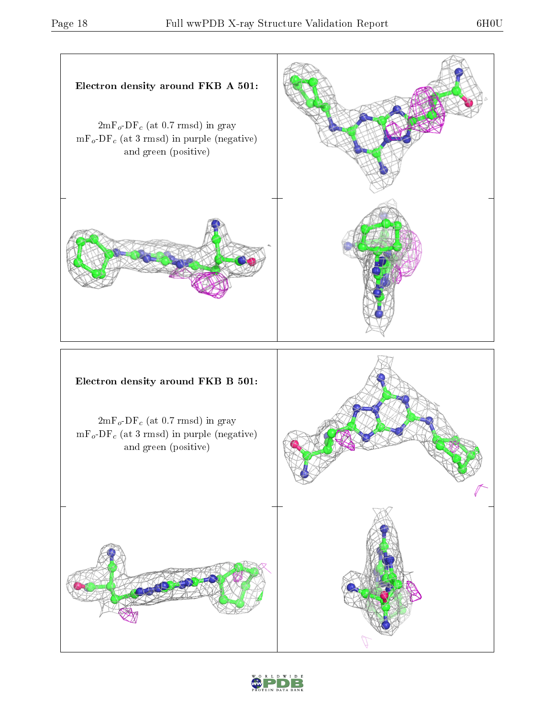